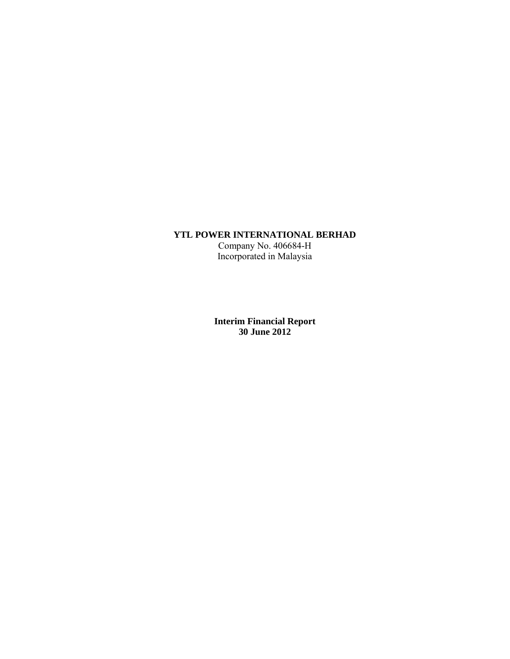## **YTL POWER INTERNATIONAL BERHAD**

Company No. 406684-H Incorporated in Malaysia

**Interim Financial Report 30 June 2012**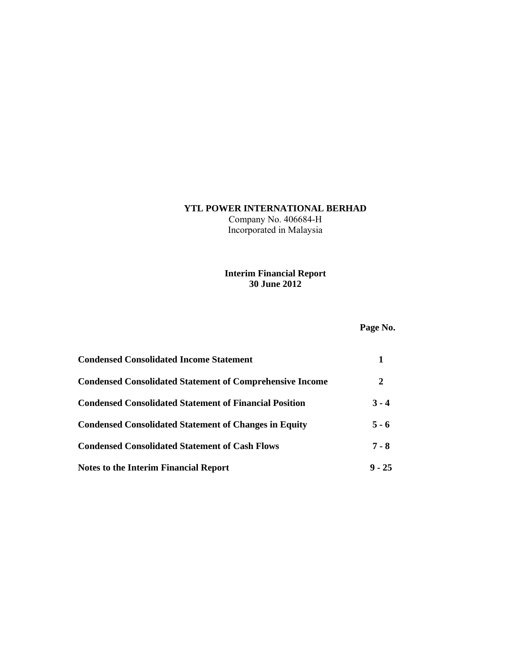# **YTL POWER INTERNATIONAL BERHAD**

Company No. 406684-H Incorporated in Malaysia

## **Interim Financial Report 30 June 2012**

# **Page No.**

| <b>Condensed Consolidated Income Statement</b>                  |          |
|-----------------------------------------------------------------|----------|
| <b>Condensed Consolidated Statement of Comprehensive Income</b> | 2        |
| <b>Condensed Consolidated Statement of Financial Position</b>   | $3 - 4$  |
| <b>Condensed Consolidated Statement of Changes in Equity</b>    | $5 - 6$  |
| <b>Condensed Consolidated Statement of Cash Flows</b>           | $7 - 8$  |
| <b>Notes to the Interim Financial Report</b>                    | $9 - 25$ |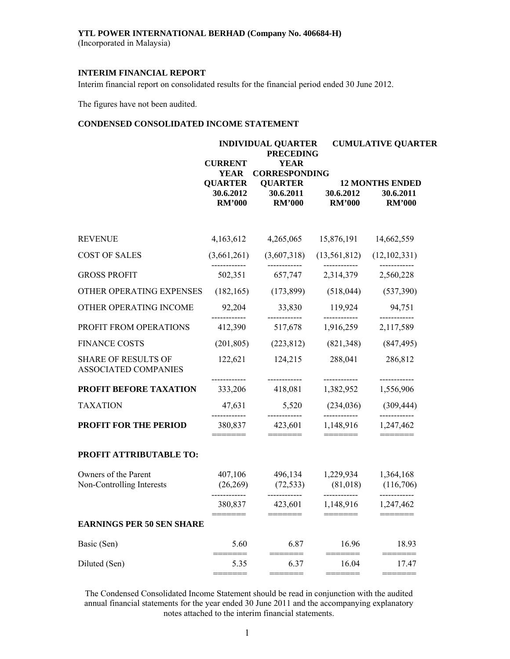## **YTL POWER INTERNATIONAL BERHAD (Company No. 406684-H)**

(Incorporated in Malaysia)

## **INTERIM FINANCIAL REPORT**

Interim financial report on consolidated results for the financial period ended 30 June 2012.

The figures have not been audited.

## **CONDENSED CONSOLIDATED INCOME STATEMENT**

|                                                    |                                              | <b>INDIVIDUAL QUARTER</b><br><b>PRECEDING</b>                                        |                                                                                                                                                                                                                                                                                                                                                                                                                                                                                              | <b>CUMULATIVE QUARTER</b>                            |  |  |
|----------------------------------------------------|----------------------------------------------|--------------------------------------------------------------------------------------|----------------------------------------------------------------------------------------------------------------------------------------------------------------------------------------------------------------------------------------------------------------------------------------------------------------------------------------------------------------------------------------------------------------------------------------------------------------------------------------------|------------------------------------------------------|--|--|
|                                                    | <b>CURRENT</b><br><b>YEAR</b>                | <b>YEAR</b><br><b>CORRESPONDING</b>                                                  |                                                                                                                                                                                                                                                                                                                                                                                                                                                                                              |                                                      |  |  |
|                                                    | <b>QUARTER</b><br>30.6.2012<br><b>RM'000</b> | <b>QUARTER</b><br>30.6.2011<br><b>RM'000</b>                                         | 30.6.2012<br><b>RM'000</b>                                                                                                                                                                                                                                                                                                                                                                                                                                                                   | <b>12 MONTHS ENDED</b><br>30.6.2011<br><b>RM'000</b> |  |  |
| <b>REVENUE</b>                                     | 4,163,612                                    | 4,265,065                                                                            | 15,876,191                                                                                                                                                                                                                                                                                                                                                                                                                                                                                   | 14,662,559                                           |  |  |
| <b>COST OF SALES</b>                               | (3,661,261)                                  | (3,607,318)                                                                          | (13, 561, 812)                                                                                                                                                                                                                                                                                                                                                                                                                                                                               | (12,102,331)                                         |  |  |
| <b>GROSS PROFIT</b>                                | 502,351                                      |                                                                                      | 657,747 2,314,379                                                                                                                                                                                                                                                                                                                                                                                                                                                                            | 2,560,228                                            |  |  |
| OTHER OPERATING EXPENSES                           | (182, 165)                                   | (173, 899)                                                                           | (518, 044)                                                                                                                                                                                                                                                                                                                                                                                                                                                                                   | (537,390)                                            |  |  |
| OTHER OPERATING INCOME                             | 92,204                                       | 33,830                                                                               | 119,924                                                                                                                                                                                                                                                                                                                                                                                                                                                                                      | 94,751                                               |  |  |
| PROFIT FROM OPERATIONS                             | 412,390                                      | ------------<br>517,678                                                              | 1,916,259                                                                                                                                                                                                                                                                                                                                                                                                                                                                                    | ------------<br>2,117,589                            |  |  |
| <b>FINANCE COSTS</b>                               | (201, 805)                                   | (223, 812)                                                                           | (821, 348)                                                                                                                                                                                                                                                                                                                                                                                                                                                                                   | (847, 495)                                           |  |  |
| <b>SHARE OF RESULTS OF</b><br>ASSOCIATED COMPANIES | 122,621                                      | 124,215                                                                              | 288,041                                                                                                                                                                                                                                                                                                                                                                                                                                                                                      | 286,812<br>------------                              |  |  |
| PROFIT BEFORE TAXATION                             | .<br>333,206                                 | ------------<br>418,081                                                              | ------------<br>1,382,952                                                                                                                                                                                                                                                                                                                                                                                                                                                                    | 1,556,906                                            |  |  |
| <b>TAXATION</b>                                    | 47,631<br>------------                       | 5,520<br>------------                                                                | (234, 036)                                                                                                                                                                                                                                                                                                                                                                                                                                                                                   | (309, 444)                                           |  |  |
| <b>PROFIT FOR THE PERIOD</b>                       | 380,837<br>=======                           | 423,601<br>$\qquad \qquad \blacksquare = \blacksquare = \blacksquare = \blacksquare$ | ------------<br>1,148,916<br>$\begin{tabular}{ll} \multicolumn{2}{l}{{\color{blue}\textbf{1}}}\\[-2.0mm]{\color{blue}\textbf{2}}\\[-2.0mm]{\color{blue}\textbf{2}}\\[-2.0mm]{\color{blue}\textbf{3}}\\[-2.0mm]{\color{blue}\textbf{4}}\\[-2.0mm]{\color{blue}\textbf{4}}\\[-2.0mm]{\color{blue}\textbf{4}}\\[-2.0mm]{\color{blue}\textbf{4}}\\[-2.0mm]{\color{blue}\textbf{4}}\\[-2.0mm]{\color{blue}\textbf{4}}\\[-2.0mm]{\color{blue}\textbf{4}}\\[-2.0mm]{\color{blue}\textbf{4}}\\[-2.0$ | ------------<br>1,247,462<br>$=$ $=$ $=$ $=$ $=$ $=$ |  |  |
| PROFIT ATTRIBUTABLE TO:                            |                                              |                                                                                      |                                                                                                                                                                                                                                                                                                                                                                                                                                                                                              |                                                      |  |  |
| Owners of the Parent<br>Non-Controlling Interests  | 407,106<br>(26,269)                          | 496,134                                                                              | 1,229,934 1,364,168<br>$(72,533)$ $(81,018)$                                                                                                                                                                                                                                                                                                                                                                                                                                                 | (116,706)<br>-------------                           |  |  |
|                                                    | ------------<br>380,837                      | ------------<br>423,601                                                              | ------------<br>1,148,916                                                                                                                                                                                                                                                                                                                                                                                                                                                                    | 1,247,462                                            |  |  |
| <b>EARNINGS PER 50 SEN SHARE</b>                   |                                              |                                                                                      |                                                                                                                                                                                                                                                                                                                                                                                                                                                                                              |                                                      |  |  |
| Basic (Sen)                                        | 5.60                                         | 6.87                                                                                 | 16.96                                                                                                                                                                                                                                                                                                                                                                                                                                                                                        | 18.93                                                |  |  |
| Diluted (Sen)                                      | 5.35                                         | 6.37                                                                                 | 16.04                                                                                                                                                                                                                                                                                                                                                                                                                                                                                        | 17.47                                                |  |  |

The Condensed Consolidated Income Statement should be read in conjunction with the audited annual financial statements for the year ended 30 June 2011 and the accompanying explanatory notes attached to the interim financial statements.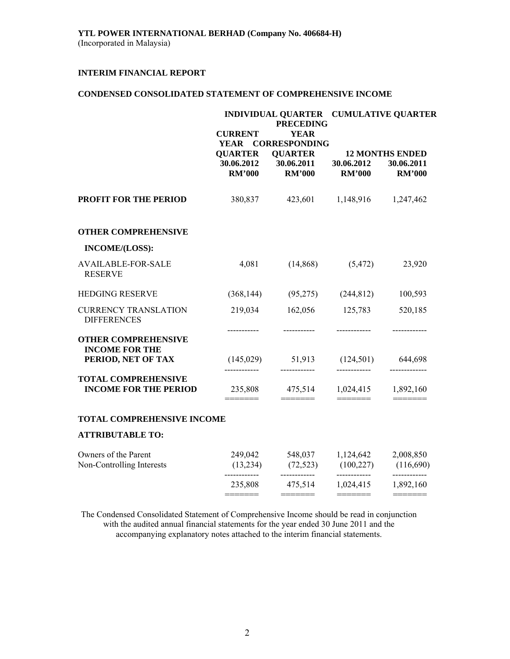## **CONDENSED CONSOLIDATED STATEMENT OF COMPREHENSIVE INCOME**

|                                                            | INDIVIDUAL QUARTER CUMULATIVE QUARTER<br><b>PRECEDING</b> |                                                                  |                                      |                                                                                                                                                                                                                                                                                                                                                                                                                                                                                 |  |  |
|------------------------------------------------------------|-----------------------------------------------------------|------------------------------------------------------------------|--------------------------------------|---------------------------------------------------------------------------------------------------------------------------------------------------------------------------------------------------------------------------------------------------------------------------------------------------------------------------------------------------------------------------------------------------------------------------------------------------------------------------------|--|--|
|                                                            | <b>CURRENT</b>                                            | <b>YEAR</b>                                                      |                                      |                                                                                                                                                                                                                                                                                                                                                                                                                                                                                 |  |  |
|                                                            | <b>YEAR</b>                                               | <b>CORRESPONDING</b>                                             |                                      |                                                                                                                                                                                                                                                                                                                                                                                                                                                                                 |  |  |
|                                                            | <b>RM'000</b>                                             | <b>QUARTER QUARTER</b><br>30.06.2012 30.06.2011<br><b>RM'000</b> | 30.06.2012<br><b>RM'000</b>          | <b>12 MONTHS ENDED</b><br>30.06.2011<br><b>RM'000</b>                                                                                                                                                                                                                                                                                                                                                                                                                           |  |  |
| <b>PROFIT FOR THE PERIOD</b>                               | 380,837                                                   | 423,601 1,148,916 1,247,462                                      |                                      |                                                                                                                                                                                                                                                                                                                                                                                                                                                                                 |  |  |
| <b>OTHER COMPREHENSIVE</b>                                 |                                                           |                                                                  |                                      |                                                                                                                                                                                                                                                                                                                                                                                                                                                                                 |  |  |
| INCOME/(LOSS):                                             |                                                           |                                                                  |                                      |                                                                                                                                                                                                                                                                                                                                                                                                                                                                                 |  |  |
| <b>AVAILABLE-FOR-SALE</b><br><b>RESERVE</b>                | 4,081                                                     | (14, 868)                                                        | (5, 472)                             | 23,920                                                                                                                                                                                                                                                                                                                                                                                                                                                                          |  |  |
| <b>HEDGING RESERVE</b>                                     | (368, 144)                                                |                                                                  | $(95,275)$ $(244,812)$               | 100,593                                                                                                                                                                                                                                                                                                                                                                                                                                                                         |  |  |
| <b>CURRENCY TRANSLATION</b><br><b>DIFFERENCES</b>          | 219,034                                                   | 162,056                                                          | 125,783                              | 520,185                                                                                                                                                                                                                                                                                                                                                                                                                                                                         |  |  |
| <b>OTHER COMPREHENSIVE</b>                                 | -----------                                               | ------------                                                     | ------------                         | ------------                                                                                                                                                                                                                                                                                                                                                                                                                                                                    |  |  |
| <b>INCOME FOR THE</b><br>PERIOD, NET OF TAX                | -------------                                             | $(145,029)$ $51,913$ $(124,501)$ $644,698$<br>------------       | ------------                         | -------------                                                                                                                                                                                                                                                                                                                                                                                                                                                                   |  |  |
| <b>TOTAL COMPREHENSIVE</b><br><b>INCOME FOR THE PERIOD</b> |                                                           | 235,808 475,514 1,024,415 1,892,160                              |                                      | $\begin{tabular}{ll} \multicolumn{2}{c}{\textbf{2}} & \multicolumn{2}{c}{\textbf{3}} & \multicolumn{2}{c}{\textbf{4}} & \multicolumn{2}{c}{\textbf{5}} & \multicolumn{2}{c}{\textbf{6}} & \multicolumn{2}{c}{\textbf{7}} & \multicolumn{2}{c}{\textbf{8}} & \multicolumn{2}{c}{\textbf{9}} & \multicolumn{2}{c}{\textbf{1}} & \multicolumn{2}{c}{\textbf{1}} & \multicolumn{2}{c}{\textbf{1}} & \multicolumn{2}{c}{\textbf{1}} & \multicolumn{2}{c}{\textbf{1}} & \multicolumn$ |  |  |
| TOTAL COMPREHENSIVE INCOME                                 |                                                           |                                                                  |                                      |                                                                                                                                                                                                                                                                                                                                                                                                                                                                                 |  |  |
| <b>ATTRIBUTABLE TO:</b>                                    |                                                           |                                                                  |                                      |                                                                                                                                                                                                                                                                                                                                                                                                                                                                                 |  |  |
| Owners of the Parent<br>Non-Controlling Interests          | (13,234)                                                  | 249,042 548,037 1,124,642<br>$(72,523)$ $(100,227)$              |                                      | 2,008,850<br>(116,690)                                                                                                                                                                                                                                                                                                                                                                                                                                                          |  |  |
|                                                            | ------------<br>=======                                   | ------------<br>235,808 475,514                                  | ------------<br>1,024,415<br>======= | ------------<br>1,892,160<br>=======                                                                                                                                                                                                                                                                                                                                                                                                                                            |  |  |
|                                                            |                                                           |                                                                  |                                      |                                                                                                                                                                                                                                                                                                                                                                                                                                                                                 |  |  |

The Condensed Consolidated Statement of Comprehensive Income should be read in conjunction with the audited annual financial statements for the year ended 30 June 2011 and the accompanying explanatory notes attached to the interim financial statements.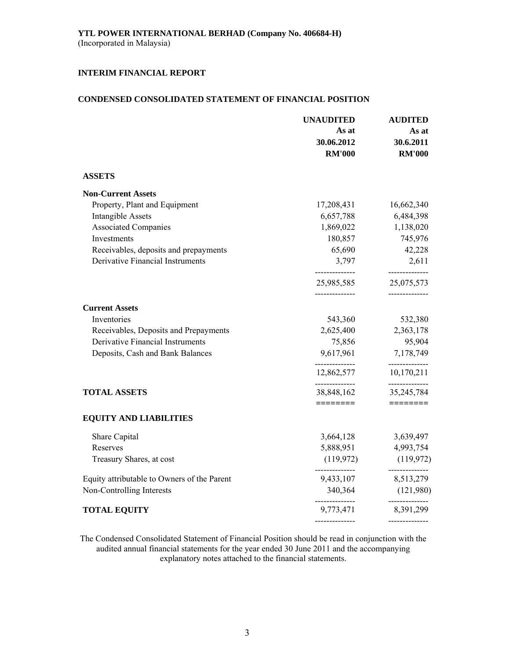## **CONDENSED CONSOLIDATED STATEMENT OF FINANCIAL POSITION**

|                                                                          | <b>UNAUDITED</b> | <b>AUDITED</b>                          |
|--------------------------------------------------------------------------|------------------|-----------------------------------------|
|                                                                          | As at            | As at                                   |
|                                                                          | 30.06.2012       | 30.6.2011                               |
|                                                                          | <b>RM'000</b>    | <b>RM'000</b>                           |
| <b>ASSETS</b>                                                            |                  |                                         |
| <b>Non-Current Assets</b>                                                |                  |                                         |
| Property, Plant and Equipment                                            | 17,208,431       | 16,662,340                              |
| <b>Intangible Assets</b>                                                 | 6,657,788        | 6,484,398                               |
| <b>Associated Companies</b>                                              | 1,869,022        | 1,138,020                               |
| Investments                                                              | 180,857          | 745,976                                 |
| Receivables, deposits and prepayments                                    | 65,690           | 42,228                                  |
| <b>Derivative Financial Instruments</b>                                  | 3,797            | 2,611<br>---------------                |
|                                                                          | 25,985,585       | 25,075,573                              |
| <b>Current Assets</b>                                                    | --------------   |                                         |
| Inventories                                                              | 543,360          | 532,380                                 |
| Receivables, Deposits and Prepayments                                    |                  | 2,625,400 2,363,178                     |
| Derivative Financial Instruments                                         | 75,856           | 95,904                                  |
| Deposits, Cash and Bank Balances                                         | 9,617,961        | 7,178,749                               |
|                                                                          | --------------   | --------------<br>12,862,577 10,170,211 |
| <b>TOTAL ASSETS</b>                                                      | 38,848,162       | <br>35, 245, 784                        |
| <b>EQUITY AND LIABILITIES</b>                                            | ========         |                                         |
| Share Capital                                                            | 3,664,128        | 3,639,497                               |
| Reserves                                                                 | 5,888,951        | 4,993,754                               |
| Treasury Shares, at cost                                                 | (119, 972)       | (119, 972)                              |
|                                                                          | 9,433,107        | --------------                          |
| Equity attributable to Owners of the Parent<br>Non-Controlling Interests | 340,364          | 8,513,279<br>(121,980)                  |
|                                                                          | --------------   | ------------                            |
| <b>TOTAL EQUITY</b>                                                      | 9,773,471        | 8,391,299                               |
|                                                                          |                  |                                         |

The Condensed Consolidated Statement of Financial Position should be read in conjunction with the audited annual financial statements for the year ended 30 June 2011 and the accompanying explanatory notes attached to the financial statements.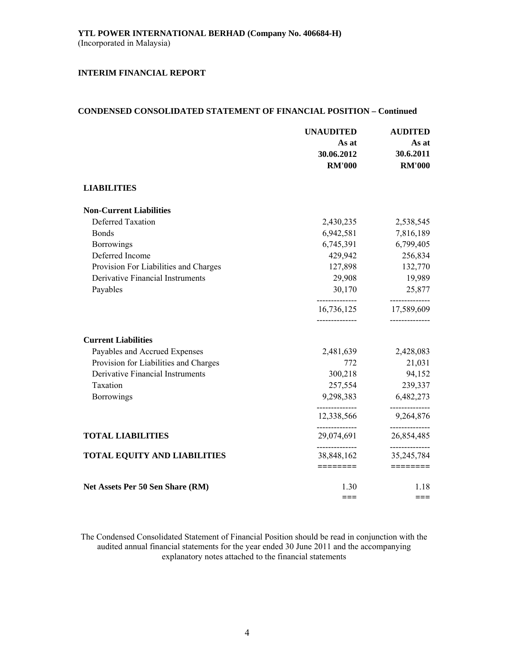## **CONDENSED CONSOLIDATED STATEMENT OF FINANCIAL POSITION – Continued**

|                                       | <b>UNAUDITED</b>              | <b>AUDITED</b>               |  |
|---------------------------------------|-------------------------------|------------------------------|--|
|                                       | As at                         | As at                        |  |
|                                       | 30.06.2012                    | 30.6.2011                    |  |
|                                       | <b>RM'000</b>                 | <b>RM'000</b>                |  |
| <b>LIABILITIES</b>                    |                               |                              |  |
| <b>Non-Current Liabilities</b>        |                               |                              |  |
| <b>Deferred Taxation</b>              | 2,430,235                     | 2,538,545                    |  |
| <b>Bonds</b>                          | 6,942,581                     | 7,816,189                    |  |
| <b>Borrowings</b>                     | 6,745,391                     | 6,799,405                    |  |
| Deferred Income                       | 429,942                       | 256,834                      |  |
| Provision For Liabilities and Charges | 127,898                       | 132,770                      |  |
| Derivative Financial Instruments      | 29,908                        | 19,989                       |  |
| Payables                              | 30,170                        | 25,877                       |  |
|                                       | ---------------<br>16,736,125 | ------------<br>17,589,609   |  |
| <b>Current Liabilities</b>            |                               |                              |  |
| Payables and Accrued Expenses         | 2,481,639                     | 2,428,083                    |  |
| Provision for Liabilities and Charges | 772                           | 21,031                       |  |
| Derivative Financial Instruments      | 300,218                       | 94,152                       |  |
| Taxation                              | 257,554                       | 239,337                      |  |
| Borrowings                            | 9,298,383                     | 6,482,273                    |  |
|                                       | --------------<br>12,338,566  | ------------<br>9,264,876    |  |
| <b>TOTAL LIABILITIES</b>              | --------------<br>29,074,691  | ------------<br>26,854,485   |  |
| <b>TOTAL EQUITY AND LIABILITIES</b>   | 38,848,162                    | --------------<br>35,245,784 |  |
|                                       | ========                      |                              |  |
| Net Assets Per 50 Sen Share (RM)      | 1.30                          | 1.18                         |  |
|                                       |                               | $==$                         |  |

The Condensed Consolidated Statement of Financial Position should be read in conjunction with the audited annual financial statements for the year ended 30 June 2011 and the accompanying explanatory notes attached to the financial statements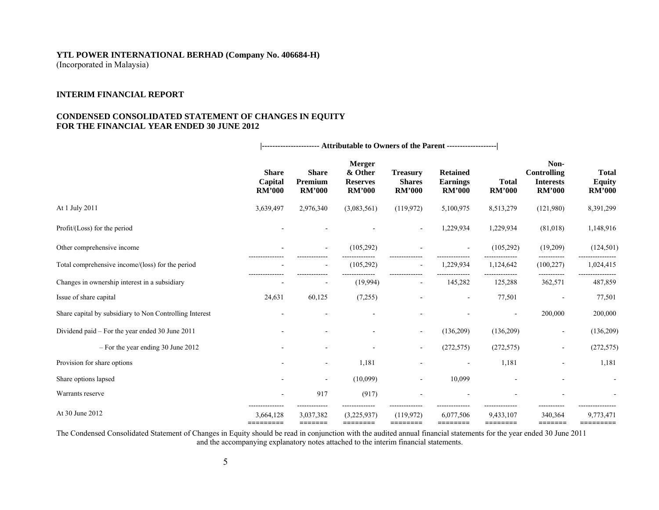# **YTL POWER INTERNATIONAL BERHAD (Company No. 406684-H)**

(Incorporated in Malaysia)

### **INTERIM FINANCIAL REPORT**

## **CONDENSED CONSOLIDATED STATEMENT OF CHANGES IN EQUITY FOR THE FINANCIAL YEAR ENDED 30 JUNE 2012**

|                                                         | ---------------------- Attributable to Owners of the Parent ------------------- |                                          |                                                              |                                                   |                                                     |                               |                                                                 |                                                |
|---------------------------------------------------------|---------------------------------------------------------------------------------|------------------------------------------|--------------------------------------------------------------|---------------------------------------------------|-----------------------------------------------------|-------------------------------|-----------------------------------------------------------------|------------------------------------------------|
|                                                         | <b>Share</b><br>Capital<br><b>RM'000</b>                                        | <b>Share</b><br>Premium<br><b>RM'000</b> | <b>Merger</b><br>& Other<br><b>Reserves</b><br><b>RM'000</b> | <b>Treasury</b><br><b>Shares</b><br><b>RM'000</b> | <b>Retained</b><br><b>Earnings</b><br><b>RM'000</b> | <b>Total</b><br><b>RM'000</b> | Non-<br><b>Controlling</b><br><b>Interests</b><br><b>RM'000</b> | <b>Total</b><br><b>Equity</b><br><b>RM'000</b> |
| At 1 July 2011                                          | 3,639,497                                                                       | 2,976,340                                | (3,083,561)                                                  | (119,972)                                         | 5,100,975                                           | 8,513,279                     | (121,980)                                                       | 8,391,299                                      |
| Profit/(Loss) for the period                            |                                                                                 |                                          |                                                              | $\overline{\phantom{a}}$                          | 1,229,934                                           | 1,229,934                     | (81,018)                                                        | 1,148,916                                      |
| Other comprehensive income                              |                                                                                 |                                          | (105, 292)                                                   |                                                   |                                                     | (105, 292)                    | (19,209)                                                        | (124, 501)                                     |
| Total comprehensive income/(loss) for the period        |                                                                                 |                                          | (105, 292)                                                   |                                                   | 1,229,934                                           | 1,124,642                     | (100, 227)                                                      | 1,024,415                                      |
| Changes in ownership interest in a subsidiary           |                                                                                 |                                          | (19,994)                                                     | $\overline{\phantom{a}}$                          | 145,282                                             | 125,288                       | 362,571                                                         | 487,859                                        |
| Issue of share capital                                  | 24,631                                                                          | 60,125                                   | (7,255)                                                      |                                                   |                                                     | 77,501                        |                                                                 | 77,501                                         |
| Share capital by subsidiary to Non Controlling Interest |                                                                                 |                                          |                                                              |                                                   |                                                     |                               | 200,000                                                         | 200,000                                        |
| Dividend paid – For the year ended 30 June 2011         |                                                                                 |                                          |                                                              | $\overline{\phantom{a}}$                          | (136,209)                                           | (136,209)                     | $\overline{\phantom{a}}$                                        | (136,209)                                      |
| $-$ For the year ending 30 June 2012                    |                                                                                 |                                          |                                                              | $\blacksquare$                                    | (272, 575)                                          | (272, 575)                    | $\blacksquare$                                                  | (272, 575)                                     |
| Provision for share options                             |                                                                                 | $\overline{\phantom{0}}$                 | 1,181                                                        |                                                   |                                                     | 1,181                         |                                                                 | 1,181                                          |
| Share options lapsed                                    |                                                                                 |                                          | (10,099)                                                     | $\blacksquare$                                    | 10,099                                              |                               |                                                                 |                                                |
| Warrants reserve                                        |                                                                                 | 917                                      | (917)                                                        |                                                   |                                                     |                               |                                                                 |                                                |
| At 30 June 2012                                         | 3,664,128                                                                       | 3,037,382<br>=======                     | (3,225,937)                                                  | (119, 972)<br>========                            | 6,077,506<br>========                               | 9,433,107<br>========         | 340,364<br>=======                                              | 9,773,471                                      |

The Condensed Consolidated Statement of Changes in Equity should be read in conjunction with the audited annual financial statements for the year ended 30 June 2011 and the accompanying explanatory notes attached to the interim financial statements.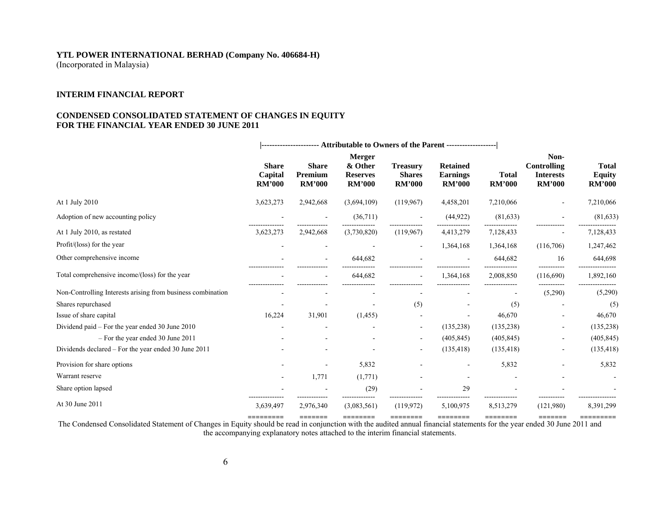#### **YTL POWER INTERNATIONAL BERHAD (Company No. 406684-H)**  (Incorporated in Malaysia)

#### **INTERIM FINANCIAL REPORT**

#### **CONDENSED CONSOLIDATED STATEMENT OF CHANGES IN EQUITY FOR THE FINANCIAL YEAR ENDED 30 JUNE 2011**

|                                                             | --------------------- Attributable to Owners of the Parent ------------------- |                                          |                                                              |                                                   |                                                     |                               |                                                                 |                                                |
|-------------------------------------------------------------|--------------------------------------------------------------------------------|------------------------------------------|--------------------------------------------------------------|---------------------------------------------------|-----------------------------------------------------|-------------------------------|-----------------------------------------------------------------|------------------------------------------------|
|                                                             | <b>Share</b><br>Capital<br><b>RM'000</b>                                       | <b>Share</b><br>Premium<br><b>RM'000</b> | <b>Merger</b><br>& Other<br><b>Reserves</b><br><b>RM'000</b> | <b>Treasury</b><br><b>Shares</b><br><b>RM'000</b> | <b>Retained</b><br><b>Earnings</b><br><b>RM'000</b> | <b>Total</b><br><b>RM'000</b> | Non-<br><b>Controlling</b><br><b>Interests</b><br><b>RM'000</b> | <b>Total</b><br><b>Equity</b><br><b>RM'000</b> |
| At 1 July 2010                                              | 3,623,273                                                                      | 2,942,668                                | (3,694,109)                                                  | (119,967)                                         | 4,458,201                                           | 7,210,066                     |                                                                 | 7,210,066                                      |
| Adoption of new accounting policy                           |                                                                                |                                          | (36,711)                                                     |                                                   | (44, 922)                                           | (81, 633)                     |                                                                 | (81, 633)                                      |
| At 1 July 2010, as restated                                 | 3,623,273                                                                      | 2,942,668                                | (3,730,820)                                                  | (119, 967)                                        | 4,413,279                                           | 7,128,433                     |                                                                 | 7,128,433                                      |
| Profit/(loss) for the year                                  |                                                                                |                                          |                                                              | $\overline{\phantom{a}}$                          | 1,364,168                                           | 1,364,168                     | (116,706)                                                       | 1,247,462                                      |
| Other comprehensive income                                  |                                                                                |                                          | 644,682                                                      |                                                   |                                                     | 644,682                       | 16                                                              | 644,698                                        |
| Total comprehensive income/(loss) for the year              |                                                                                |                                          | 644,682                                                      |                                                   | 1,364,168                                           | 2,008,850                     | (116,690)                                                       | 1,892,160                                      |
| Non-Controlling Interests arising from business combination |                                                                                |                                          |                                                              |                                                   |                                                     |                               | (5,290)                                                         | (5,290)                                        |
| Shares repurchased                                          |                                                                                |                                          |                                                              | (5)                                               |                                                     | (5)                           |                                                                 | (5)                                            |
| Issue of share capital                                      | 16,224                                                                         | 31,901                                   | (1, 455)                                                     |                                                   |                                                     | 46,670                        |                                                                 | 46,670                                         |
| Dividend paid - For the year ended 30 June 2010             |                                                                                |                                          |                                                              | $\overline{\phantom{a}}$                          | (135, 238)                                          | (135, 238)                    | $\blacksquare$                                                  | (135, 238)                                     |
| - For the year ended 30 June 2011                           |                                                                                |                                          |                                                              |                                                   | (405, 845)                                          | (405, 845)                    |                                                                 | (405, 845)                                     |
| Dividends declared - For the year ended 30 June 2011        |                                                                                |                                          |                                                              |                                                   | (135, 418)                                          | (135, 418)                    |                                                                 | (135, 418)                                     |
| Provision for share options                                 |                                                                                |                                          | 5,832                                                        |                                                   |                                                     | 5,832                         |                                                                 | 5,832                                          |
| Warrant reserve                                             |                                                                                | 1,771                                    | (1,771)                                                      |                                                   |                                                     |                               |                                                                 |                                                |
| Share option lapsed                                         |                                                                                |                                          | (29)                                                         |                                                   | 29                                                  |                               |                                                                 |                                                |
| At 30 June 2011                                             | 3,639,497                                                                      | 2,976,340                                | (3,083,561)                                                  | (119,972)                                         | 5,100,975                                           | 8,513,279                     | (121,980)                                                       | 8,391,299                                      |

The Condensed Consolidated Statement of Changes in Equity should be read in conjunction with the audited annual financial statements for the year ended 30 June 2011 and the accompanying explanatory notes attached to the interim financial statements.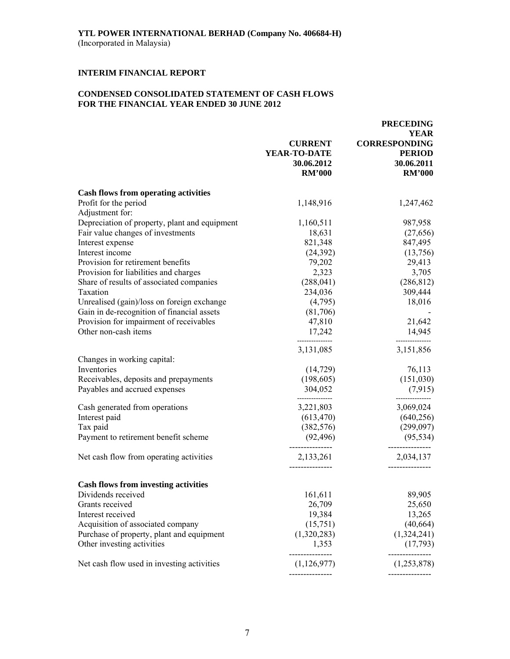## **CONDENSED CONSOLIDATED STATEMENT OF CASH FLOWS FOR THE FINANCIAL YEAR ENDED 30 JUNE 2012**

|                                                                        | <b>CURRENT</b>                              | <b>PRECEDING</b><br>YEAR<br><b>CORRESPONDING</b> |
|------------------------------------------------------------------------|---------------------------------------------|--------------------------------------------------|
|                                                                        | YEAR-TO-DATE<br>30.06.2012<br><b>RM'000</b> | <b>PERIOD</b><br>30.06.2011<br><b>RM'000</b>     |
| <b>Cash flows from operating activities</b>                            |                                             |                                                  |
| Profit for the period<br>Adjustment for:                               | 1,148,916                                   | 1,247,462                                        |
| Depreciation of property, plant and equipment                          | 1,160,511                                   | 987,958                                          |
| Fair value changes of investments                                      | 18,631                                      | (27,656)                                         |
| Interest expense                                                       | 821,348                                     | 847,495                                          |
| Interest income                                                        | (24, 392)                                   | (13,756)                                         |
| Provision for retirement benefits                                      | 79,202                                      | 29,413                                           |
| Provision for liabilities and charges                                  | 2,323                                       | 3,705                                            |
| Share of results of associated companies                               | (288, 041)                                  | (286, 812)                                       |
| Taxation                                                               | 234,036                                     | 309,444                                          |
| Unrealised (gain)/loss on foreign exchange                             | (4,795)                                     | 18,016                                           |
| Gain in de-recognition of financial assets                             | (81,706)                                    |                                                  |
| Provision for impairment of receivables                                | 47,810                                      | 21,642                                           |
| Other non-cash items                                                   | 17,242                                      | 14,945                                           |
|                                                                        | 3,131,085                                   | 3,151,856                                        |
| Changes in working capital:<br>Inventories                             |                                             |                                                  |
|                                                                        | (14, 729)                                   | 76,113<br>(151,030)                              |
| Receivables, deposits and prepayments<br>Payables and accrued expenses | (198, 605)                                  |                                                  |
|                                                                        | 304,052                                     | (7,915)                                          |
| Cash generated from operations                                         | 3,221,803                                   | 3,069,024                                        |
| Interest paid                                                          | (613, 470)                                  | (640, 256)                                       |
| Tax paid                                                               | (382, 576)                                  | (299,097)                                        |
| Payment to retirement benefit scheme                                   | (92, 496)                                   | (95, 534)                                        |
| Net cash flow from operating activities                                | 2,133,261                                   | 2,034,137                                        |
| <b>Cash flows from investing activities</b>                            |                                             |                                                  |
| Dividends received                                                     | 161,611                                     | 89,905                                           |
| Grants received                                                        | 26,709                                      | 25,650                                           |
| Interest received                                                      | 19,384                                      | 13,265                                           |
| Acquisition of associated company                                      | (15,751)                                    | (40, 664)                                        |
| Purchase of property, plant and equipment                              | (1,320,283)                                 | (1,324,241)                                      |
| Other investing activities                                             | 1,353                                       | (17,793)                                         |
| Net cash flow used in investing activities                             | -----------<br>(1,126,977)                  | -----------<br>(1,253,878)                       |
|                                                                        |                                             |                                                  |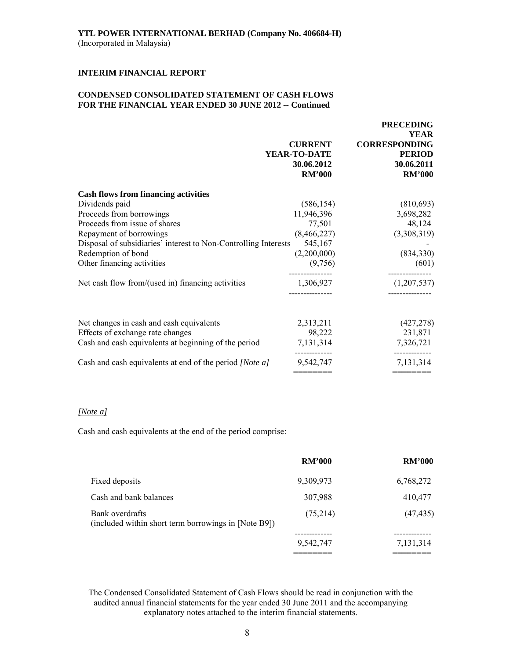## **CONDENSED CONSOLIDATED STATEMENT OF CASH FLOWS FOR THE FINANCIAL YEAR ENDED 30 JUNE 2012 -- Continued**

|                                                                 |                                                               | <b>PRECEDING</b>                                                                    |
|-----------------------------------------------------------------|---------------------------------------------------------------|-------------------------------------------------------------------------------------|
|                                                                 | <b>CURRENT</b><br>YEAR-TO-DATE<br>30.06.2012<br><b>RM'000</b> | <b>YEAR</b><br><b>CORRESPONDING</b><br><b>PERIOD</b><br>30.06.2011<br><b>RM'000</b> |
| <b>Cash flows from financing activities</b>                     |                                                               |                                                                                     |
| Dividends paid                                                  | (586, 154)                                                    | (810,693)                                                                           |
| Proceeds from borrowings                                        | 11,946,396                                                    | 3,698,282                                                                           |
| Proceeds from issue of shares                                   | 77,501                                                        | 48,124                                                                              |
| Repayment of borrowings                                         | (8,466,227)                                                   | (3,308,319)                                                                         |
| Disposal of subsidiaries' interest to Non-Controlling Interests | 545,167                                                       |                                                                                     |
| Redemption of bond                                              | (2,200,000)                                                   | (834,330)                                                                           |
| Other financing activities                                      | (9,756)                                                       | (601)                                                                               |
| Net cash flow from/(used in) financing activities               | 1,306,927                                                     | (1,207,537)                                                                         |
|                                                                 |                                                               |                                                                                     |
| Net changes in cash and cash equivalents                        | 2,313,211                                                     | (427, 278)                                                                          |
| Effects of exchange rate changes                                | 98,222                                                        | 231,871                                                                             |
| Cash and cash equivalents at beginning of the period            | 7,131,314                                                     | 7,326,721                                                                           |
| Cash and cash equivalents at end of the period [Note a]         | 9,542,747                                                     | 7,131,314                                                                           |
|                                                                 | ========                                                      |                                                                                     |

## *[Note a]*

Cash and cash equivalents at the end of the period comprise:

|                                                                         | <b>RM'000</b> | <b>RM'000</b> |
|-------------------------------------------------------------------------|---------------|---------------|
| Fixed deposits                                                          | 9,309,973     | 6,768,272     |
| Cash and bank balances                                                  | 307,988       | 410,477       |
| Bank overdrafts<br>(included within short term borrowings in [Note B9]) | (75,214)      | (47, 435)     |
|                                                                         | 9,542,747     | 7,131,314     |
|                                                                         |               |               |

The Condensed Consolidated Statement of Cash Flows should be read in conjunction with the audited annual financial statements for the year ended 30 June 2011 and the accompanying explanatory notes attached to the interim financial statements.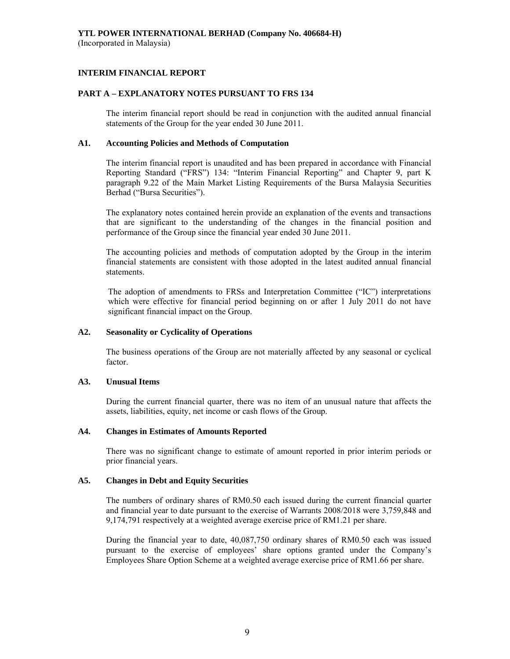## **INTERIM FINANCIAL REPORT**

## **PART A – EXPLANATORY NOTES PURSUANT TO FRS 134**

The interim financial report should be read in conjunction with the audited annual financial statements of the Group for the year ended 30 June 2011.

## **A1. Accounting Policies and Methods of Computation**

The interim financial report is unaudited and has been prepared in accordance with Financial Reporting Standard ("FRS") 134: "Interim Financial Reporting" and Chapter 9, part K paragraph 9.22 of the Main Market Listing Requirements of the Bursa Malaysia Securities Berhad ("Bursa Securities").

The explanatory notes contained herein provide an explanation of the events and transactions that are significant to the understanding of the changes in the financial position and performance of the Group since the financial year ended 30 June 2011.

The accounting policies and methods of computation adopted by the Group in the interim financial statements are consistent with those adopted in the latest audited annual financial statements.

The adoption of amendments to FRSs and Interpretation Committee ("IC") interpretations which were effective for financial period beginning on or after 1 July 2011 do not have significant financial impact on the Group.

## **A2. Seasonality or Cyclicality of Operations**

 The business operations of the Group are not materially affected by any seasonal or cyclical factor.

#### **A3. Unusual Items**

 During the current financial quarter, there was no item of an unusual nature that affects the assets, liabilities, equity, net income or cash flows of the Group.

#### **A4. Changes in Estimates of Amounts Reported**

 There was no significant change to estimate of amount reported in prior interim periods or prior financial years.

## **A5. Changes in Debt and Equity Securities**

 The numbers of ordinary shares of RM0.50 each issued during the current financial quarter and financial year to date pursuant to the exercise of Warrants 2008/2018 were 3,759,848 and 9,174,791 respectively at a weighted average exercise price of RM1.21 per share.

 During the financial year to date, 40,087,750 ordinary shares of RM0.50 each was issued pursuant to the exercise of employees' share options granted under the Company's Employees Share Option Scheme at a weighted average exercise price of RM1.66 per share.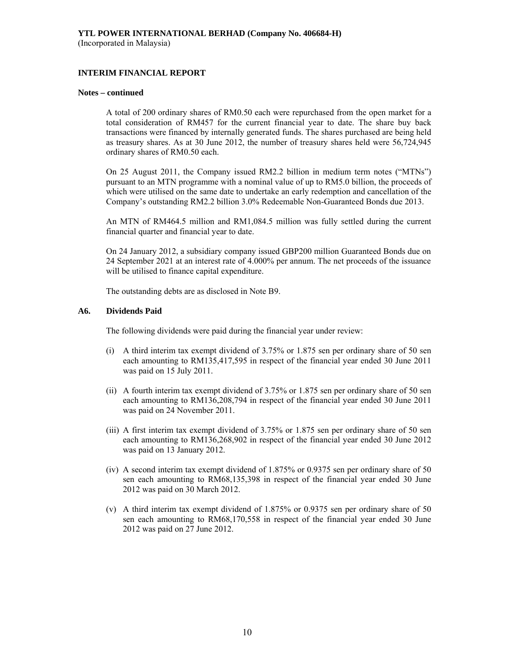## **INTERIM FINANCIAL REPORT**

#### **Notes – continued**

 A total of 200 ordinary shares of RM0.50 each were repurchased from the open market for a total consideration of RM457 for the current financial year to date. The share buy back transactions were financed by internally generated funds. The shares purchased are being held as treasury shares. As at 30 June 2012, the number of treasury shares held were 56,724,945 ordinary shares of RM0.50 each.

 On 25 August 2011, the Company issued RM2.2 billion in medium term notes ("MTNs") pursuant to an MTN programme with a nominal value of up to RM5.0 billion, the proceeds of which were utilised on the same date to undertake an early redemption and cancellation of the Company's outstanding RM2.2 billion 3.0% Redeemable Non-Guaranteed Bonds due 2013.

 An MTN of RM464.5 million and RM1,084.5 million was fully settled during the current financial quarter and financial year to date.

On 24 January 2012, a subsidiary company issued GBP200 million Guaranteed Bonds due on 24 September 2021 at an interest rate of 4.000% per annum. The net proceeds of the issuance will be utilised to finance capital expenditure.

The outstanding debts are as disclosed in Note B9.

## **A6. Dividends Paid**

The following dividends were paid during the financial year under review:

- (i) A third interim tax exempt dividend of 3.75% or 1.875 sen per ordinary share of 50 sen each amounting to RM135,417,595 in respect of the financial year ended 30 June 2011 was paid on 15 July 2011.
- (ii) A fourth interim tax exempt dividend of 3.75% or 1.875 sen per ordinary share of 50 sen each amounting to RM136,208,794 in respect of the financial year ended 30 June 2011 was paid on 24 November 2011.
- (iii) A first interim tax exempt dividend of 3.75% or 1.875 sen per ordinary share of 50 sen each amounting to RM136,268,902 in respect of the financial year ended 30 June 2012 was paid on 13 January 2012.
- (iv) A second interim tax exempt dividend of 1.875% or 0.9375 sen per ordinary share of 50 sen each amounting to RM68,135,398 in respect of the financial year ended 30 June 2012 was paid on 30 March 2012.
- (v) A third interim tax exempt dividend of 1.875% or 0.9375 sen per ordinary share of 50 sen each amounting to RM68,170,558 in respect of the financial year ended 30 June 2012 was paid on 27 June 2012.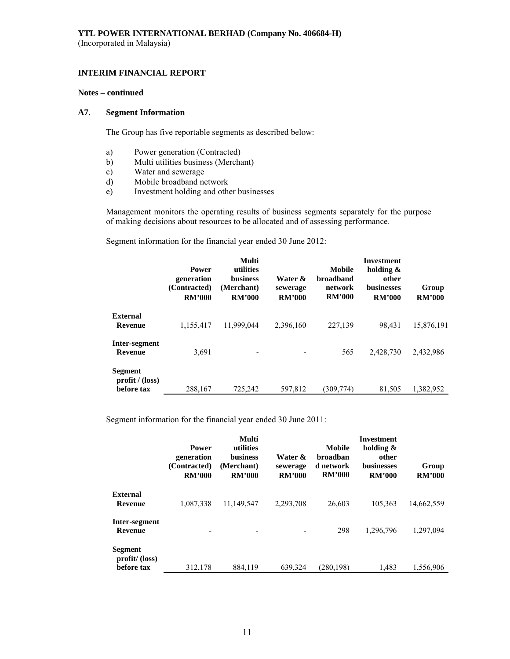## **INTERIM FINANCIAL REPORT**

#### **Notes – continued**

#### **A7. Segment Information**

The Group has five reportable segments as described below:

- a) Power generation (Contracted)
- b) Multi utilities business (Merchant)
- c) Water and sewerage
- d) Mobile broadband network
- e) Investment holding and other businesses

 Management monitors the operating results of business segments separately for the purpose of making decisions about resources to be allocated and of assessing performance.

Segment information for the financial year ended 30 June 2012:

|                                          | <b>Power</b><br>generation<br>(Contracted)<br><b>RM'000</b> | Multi<br>utilities<br><b>business</b><br>(Merchant)<br><b>RM'000</b> | Water &<br>sewerage<br><b>RM'000</b> | Mobile<br><b>broadband</b><br>network<br><b>RM'000</b> | <b>Investment</b><br>holding &<br>other<br><b>businesses</b><br><b>RM'000</b> | Group<br><b>RM'000</b> |
|------------------------------------------|-------------------------------------------------------------|----------------------------------------------------------------------|--------------------------------------|--------------------------------------------------------|-------------------------------------------------------------------------------|------------------------|
| <b>External</b><br>Revenue               | 1,155,417                                                   | 11,999,044                                                           | 2,396,160                            | 227,139                                                | 98.431                                                                        | 15,876,191             |
| Inter-segment<br><b>Revenue</b>          | 3,691                                                       |                                                                      |                                      | 565                                                    | 2,428,730                                                                     | 2,432,986              |
| Segment<br>profit / (loss)<br>before tax | 288,167                                                     | 725.242                                                              | 597.812                              | (309.774)                                              | 81.505                                                                        | 1,382,952              |

Segment information for the financial year ended 30 June 2011:

|                                               | <b>Power</b><br>generation<br>(Contracted)<br><b>RM'000</b> | Multi<br>utilities<br>business<br>(Merchant)<br><b>RM'000</b> | Water &<br>sewerage<br><b>RM'000</b> | Mobile<br>broadban<br>d network<br><b>RM'000</b> | <b>Investment</b><br>holding &<br>other<br><b>businesses</b><br><b>RM'000</b> | Group<br><b>RM'000</b> |
|-----------------------------------------------|-------------------------------------------------------------|---------------------------------------------------------------|--------------------------------------|--------------------------------------------------|-------------------------------------------------------------------------------|------------------------|
| <b>External</b><br>Revenue                    | 1,087,338                                                   | 11,149,547                                                    | 2,293,708                            | 26,603                                           | 105,363                                                                       | 14,662,559             |
| Inter-segment<br><b>Revenue</b>               |                                                             |                                                               |                                      | 298                                              | 1,296,796                                                                     | 1,297,094              |
| <b>Segment</b><br>profit/(loss)<br>before tax | 312,178                                                     | 884,119                                                       | 639,324                              | (280, 198)                                       | 1,483                                                                         | 1.556.906              |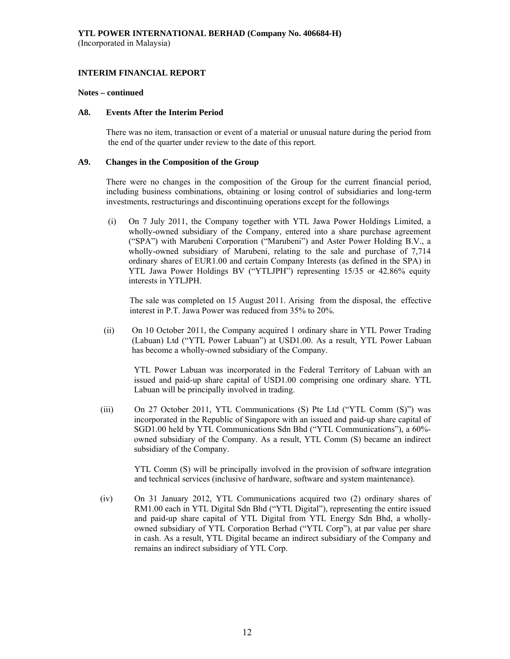#### **Notes – continued**

#### **A8. Events After the Interim Period**

There was no item, transaction or event of a material or unusual nature during the period from the end of the quarter under review to the date of this report.

#### **A9. Changes in the Composition of the Group**

 There were no changes in the composition of the Group for the current financial period, including business combinations, obtaining or losing control of subsidiaries and long-term investments, restructurings and discontinuing operations except for the followings

(i) On 7 July 2011, the Company together with YTL Jawa Power Holdings Limited, a wholly-owned subsidiary of the Company, entered into a share purchase agreement ("SPA") with Marubeni Corporation ("Marubeni") and Aster Power Holding B.V., a wholly-owned subsidiary of Marubeni, relating to the sale and purchase of 7,714 ordinary shares of EUR1.00 and certain Company Interests (as defined in the SPA) in YTL Jawa Power Holdings BV ("YTLJPH") representing 15/35 or 42.86% equity interests in YTLJPH.

 The sale was completed on 15 August 2011. Arising from the disposal, the effective interest in P.T. Jawa Power was reduced from 35% to 20%.

(ii) On 10 October 2011, the Company acquired 1 ordinary share in YTL Power Trading (Labuan) Ltd ("YTL Power Labuan") at USD1.00. As a result, YTL Power Labuan has become a wholly-owned subsidiary of the Company.

YTL Power Labuan was incorporated in the Federal Territory of Labuan with an issued and paid-up share capital of USD1.00 comprising one ordinary share. YTL Labuan will be principally involved in trading.

(iii) On 27 October 2011, YTL Communications (S) Pte Ltd ("YTL Comm (S)") was incorporated in the Republic of Singapore with an issued and paid-up share capital of SGD1.00 held by YTL Communications Sdn Bhd ("YTL Communications"), a 60% owned subsidiary of the Company. As a result, YTL Comm (S) became an indirect subsidiary of the Company.

YTL Comm (S) will be principally involved in the provision of software integration and technical services (inclusive of hardware, software and system maintenance).

(iv) On 31 January 2012, YTL Communications acquired two (2) ordinary shares of RM1.00 each in YTL Digital Sdn Bhd ("YTL Digital"), representing the entire issued and paid-up share capital of YTL Digital from YTL Energy Sdn Bhd, a whollyowned subsidiary of YTL Corporation Berhad ("YTL Corp"), at par value per share in cash. As a result, YTL Digital became an indirect subsidiary of the Company and remains an indirect subsidiary of YTL Corp.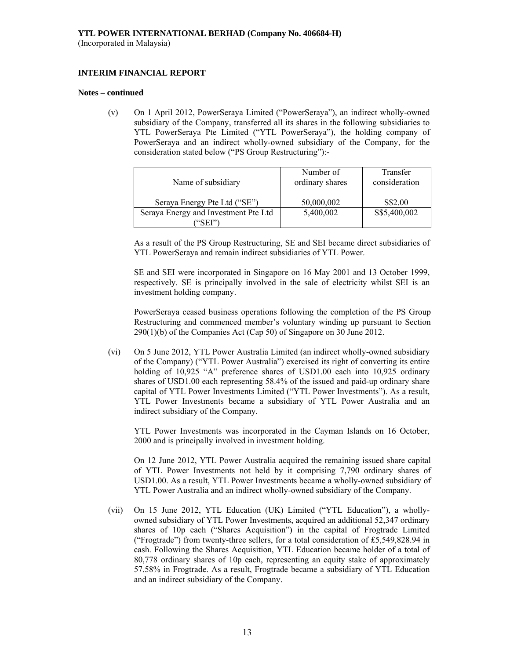## **INTERIM FINANCIAL REPORT**

#### **Notes – continued**

(v) On 1 April 2012, PowerSeraya Limited ("PowerSeraya"), an indirect wholly-owned subsidiary of the Company, transferred all its shares in the following subsidiaries to YTL PowerSeraya Pte Limited ("YTL PowerSeraya"), the holding company of PowerSeraya and an indirect wholly-owned subsidiary of the Company, for the consideration stated below ("PS Group Restructuring"):-

|                                      | Number of       | Transfer      |
|--------------------------------------|-----------------|---------------|
| Name of subsidiary                   | ordinary shares | consideration |
|                                      |                 |               |
| Seraya Energy Pte Ltd ("SE")         | 50,000,002      | S\$2.00       |
| Seraya Energy and Investment Pte Ltd | 5,400,002       | S\$5,400,002  |
| ``SEI``)                             |                 |               |

As a result of the PS Group Restructuring, SE and SEI became direct subsidiaries of YTL PowerSeraya and remain indirect subsidiaries of YTL Power.

SE and SEI were incorporated in Singapore on 16 May 2001 and 13 October 1999, respectively. SE is principally involved in the sale of electricity whilst SEI is an investment holding company.

PowerSeraya ceased business operations following the completion of the PS Group Restructuring and commenced member's voluntary winding up pursuant to Section 290(1)(b) of the Companies Act (Cap 50) of Singapore on 30 June 2012.

(vi) On 5 June 2012, YTL Power Australia Limited (an indirect wholly-owned subsidiary of the Company) ("YTL Power Australia") exercised its right of converting its entire holding of 10,925 "A" preference shares of USD1.00 each into 10,925 ordinary shares of USD1.00 each representing 58.4% of the issued and paid-up ordinary share capital of YTL Power Investments Limited ("YTL Power Investments"). As a result, YTL Power Investments became a subsidiary of YTL Power Australia and an indirect subsidiary of the Company.

YTL Power Investments was incorporated in the Cayman Islands on 16 October, 2000 and is principally involved in investment holding.

On 12 June 2012, YTL Power Australia acquired the remaining issued share capital of YTL Power Investments not held by it comprising 7,790 ordinary shares of USD1.00. As a result, YTL Power Investments became a wholly-owned subsidiary of YTL Power Australia and an indirect wholly-owned subsidiary of the Company.

(vii) On 15 June 2012, YTL Education (UK) Limited ("YTL Education"), a whollyowned subsidiary of YTL Power Investments, acquired an additional 52,347 ordinary shares of 10p each ("Shares Acquisition") in the capital of Frogtrade Limited ("Frogtrade") from twenty-three sellers, for a total consideration of ₤5,549,828.94 in cash. Following the Shares Acquisition, YTL Education became holder of a total of 80,778 ordinary shares of 10p each, representing an equity stake of approximately 57.58% in Frogtrade. As a result, Frogtrade became a subsidiary of YTL Education and an indirect subsidiary of the Company.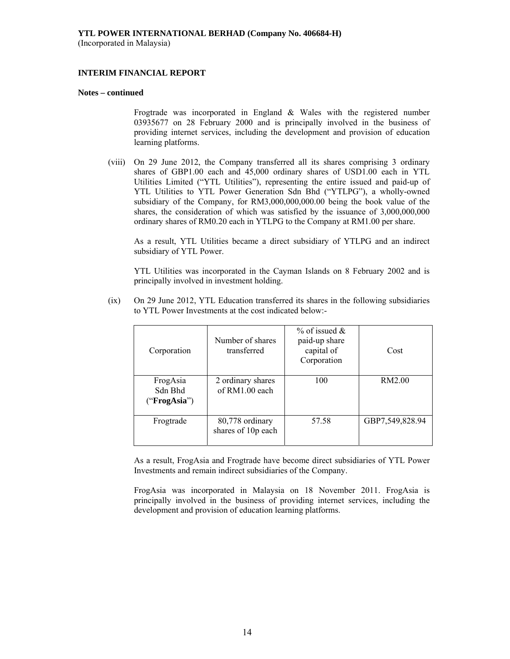#### **INTERIM FINANCIAL REPORT**

#### **Notes – continued**

Frogtrade was incorporated in England & Wales with the registered number 03935677 on 28 February 2000 and is principally involved in the business of providing internet services, including the development and provision of education learning platforms.

(viii) On 29 June 2012, the Company transferred all its shares comprising 3 ordinary shares of GBP1.00 each and 45,000 ordinary shares of USD1.00 each in YTL Utilities Limited ("YTL Utilities"), representing the entire issued and paid-up of YTL Utilities to YTL Power Generation Sdn Bhd ("YTLPG"), a wholly-owned subsidiary of the Company, for RM3,000,000,000.00 being the book value of the shares, the consideration of which was satisfied by the issuance of 3,000,000,000 ordinary shares of RM0.20 each in YTLPG to the Company at RM1.00 per share.

As a result, YTL Utilities became a direct subsidiary of YTLPG and an indirect subsidiary of YTL Power.

YTL Utilities was incorporated in the Cayman Islands on 8 February 2002 and is principally involved in investment holding.

(ix) On 29 June 2012, YTL Education transferred its shares in the following subsidiaries to YTL Power Investments at the cost indicated below:-

| Corporation                         | Number of shares<br>transferred       | $\%$ of issued $\&$<br>paid-up share<br>capital of<br>Corporation | Cost            |
|-------------------------------------|---------------------------------------|-------------------------------------------------------------------|-----------------|
| FrogAsia<br>Sdn Bhd<br>("FrogAsia") | 2 ordinary shares<br>of $RM1.00$ each | 100                                                               | RM2.00          |
| Frogtrade                           | 80,778 ordinary<br>shares of 10p each | 57.58                                                             | GBP7,549,828.94 |

As a result, FrogAsia and Frogtrade have become direct subsidiaries of YTL Power Investments and remain indirect subsidiaries of the Company.

FrogAsia was incorporated in Malaysia on 18 November 2011. FrogAsia is principally involved in the business of providing internet services, including the development and provision of education learning platforms.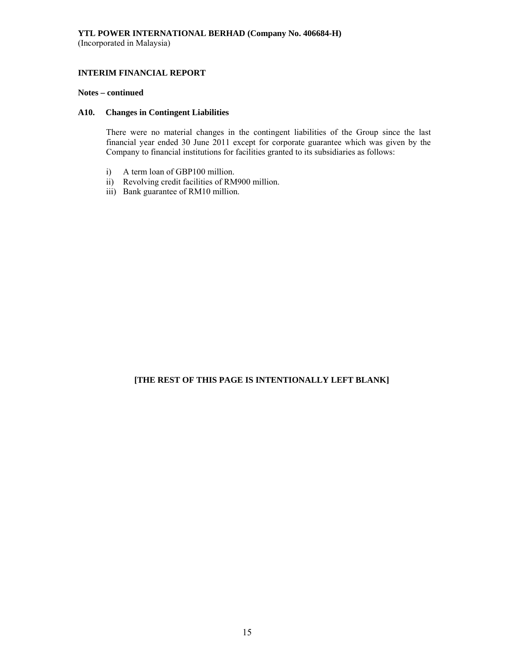## **INTERIM FINANCIAL REPORT**

#### **Notes – continued**

## **A10. Changes in Contingent Liabilities**

There were no material changes in the contingent liabilities of the Group since the last financial year ended 30 June 2011 except for corporate guarantee which was given by the Company to financial institutions for facilities granted to its subsidiaries as follows:

- i) A term loan of GBP100 million.
- ii) Revolving credit facilities of RM900 million.
- iii) Bank guarantee of RM10 million.

## **[THE REST OF THIS PAGE IS INTENTIONALLY LEFT BLANK]**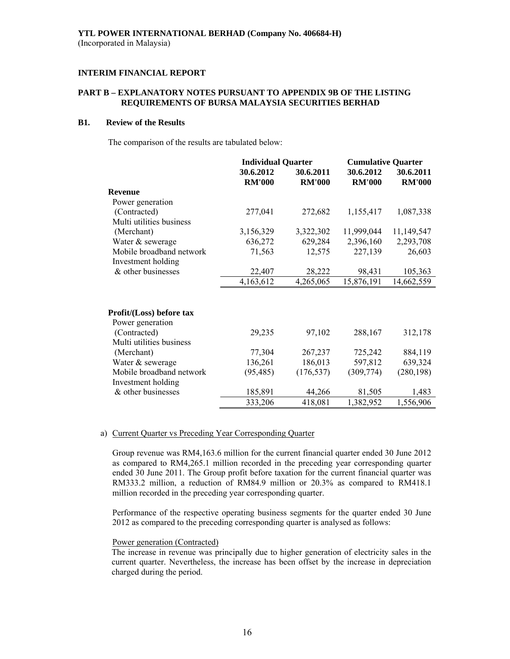## **PART B – EXPLANATORY NOTES PURSUANT TO APPENDIX 9B OF THE LISTING REQUIREMENTS OF BURSA MALAYSIA SECURITIES BERHAD**

## **B1. Review of the Results**

The comparison of the results are tabulated below:

|                          | <b>Individual Quarter</b> |               | <b>Cumulative Quarter</b> |               |
|--------------------------|---------------------------|---------------|---------------------------|---------------|
|                          | 30.6.2012                 | 30.6.2011     | 30.6.2012                 | 30.6.2011     |
|                          | <b>RM'000</b>             | <b>RM'000</b> | <b>RM'000</b>             | <b>RM'000</b> |
| <b>Revenue</b>           |                           |               |                           |               |
| Power generation         |                           |               |                           |               |
| (Contracted)             | 277,041                   | 272,682       | 1,155,417                 | 1,087,338     |
| Multi utilities business |                           |               |                           |               |
| (Merchant)               | 3,156,329                 | 3,322,302     | 11,999,044                | 11,149,547    |
| Water & sewerage         | 636,272                   | 629,284       | 2,396,160                 | 2,293,708     |
| Mobile broadband network | 71,563                    | 12,575        | 227,139                   | 26,603        |
| Investment holding       |                           |               |                           |               |
| & other businesses       | 22,407                    | 28,222        | 98,431                    | 105,363       |
|                          | 4,163,612                 | 4,265,065     | 15,876,191                | 14,662,559    |
| Profit/(Loss) before tax |                           |               |                           |               |
| Power generation         |                           |               |                           |               |
| (Contracted)             | 29,235                    | 97,102        | 288,167                   | 312,178       |
| Multi utilities business |                           |               |                           |               |
| (Merchant)               | 77,304                    | 267,237       | 725,242                   | 884,119       |
| Water & sewerage         | 136,261                   | 186,013       | 597,812                   | 639,324       |
| Mobile broadband network | (95, 485)                 | (176, 537)    | (309, 774)                | (280, 198)    |
| Investment holding       |                           |               |                           |               |
| & other businesses       | 185,891                   | 44,266        | 81,505                    | 1,483         |
|                          | 333,206                   | 418,081       | 1,382,952                 | 1,556,906     |

#### a) Current Quarter vs Preceding Year Corresponding Quarter

Group revenue was RM4,163.6 million for the current financial quarter ended 30 June 2012 as compared to RM4,265.1 million recorded in the preceding year corresponding quarter ended 30 June 2011. The Group profit before taxation for the current financial quarter was RM333.2 million, a reduction of RM84.9 million or 20.3% as compared to RM418.1 million recorded in the preceding year corresponding quarter.

 Performance of the respective operating business segments for the quarter ended 30 June 2012 as compared to the preceding corresponding quarter is analysed as follows:

#### Power generation (Contracted)

The increase in revenue was principally due to higher generation of electricity sales in the current quarter. Nevertheless, the increase has been offset by the increase in depreciation charged during the period.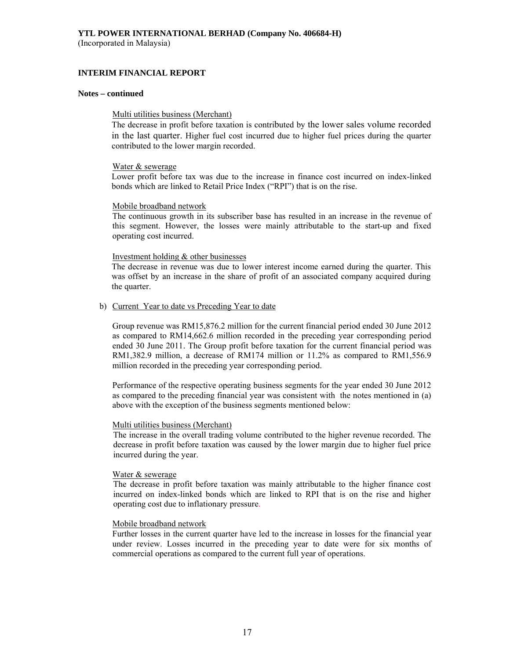#### **INTERIM FINANCIAL REPORT**

#### **Notes – continued**

#### Multi utilities business (Merchant)

The decrease in profit before taxation is contributed by the lower sales volume recorded in the last quarter. Higher fuel cost incurred due to higher fuel prices during the quarter contributed to the lower margin recorded.

#### Water & sewerage

Lower profit before tax was due to the increase in finance cost incurred on index-linked bonds which are linked to Retail Price Index ("RPI") that is on the rise.

#### Mobile broadband network

The continuous growth in its subscriber base has resulted in an increase in the revenue of this segment. However, the losses were mainly attributable to the start-up and fixed operating cost incurred.

#### Investment holding & other businesses

The decrease in revenue was due to lower interest income earned during the quarter. This was offset by an increase in the share of profit of an associated company acquired during the quarter.

#### b) Current Year to date vs Preceding Year to date

Group revenue was RM15,876.2 million for the current financial period ended 30 June 2012 as compared to RM14,662.6 million recorded in the preceding year corresponding period ended 30 June 2011. The Group profit before taxation for the current financial period was RM1,382.9 million, a decrease of RM174 million or 11.2% as compared to RM1,556.9 million recorded in the preceding year corresponding period.

Performance of the respective operating business segments for the year ended 30 June 2012 as compared to the preceding financial year was consistent with the notes mentioned in (a) above with the exception of the business segments mentioned below:

#### Multi utilities business (Merchant)

The increase in the overall trading volume contributed to the higher revenue recorded. The decrease in profit before taxation was caused by the lower margin due to higher fuel price incurred during the year.

#### Water & sewerage

The decrease in profit before taxation was mainly attributable to the higher finance cost incurred on index-linked bonds which are linked to RPI that is on the rise and higher operating cost due to inflationary pressure.

#### Mobile broadband network

 Further losses in the current quarter have led to the increase in losses for the financial year under review. Losses incurred in the preceding year to date were for six months of commercial operations as compared to the current full year of operations.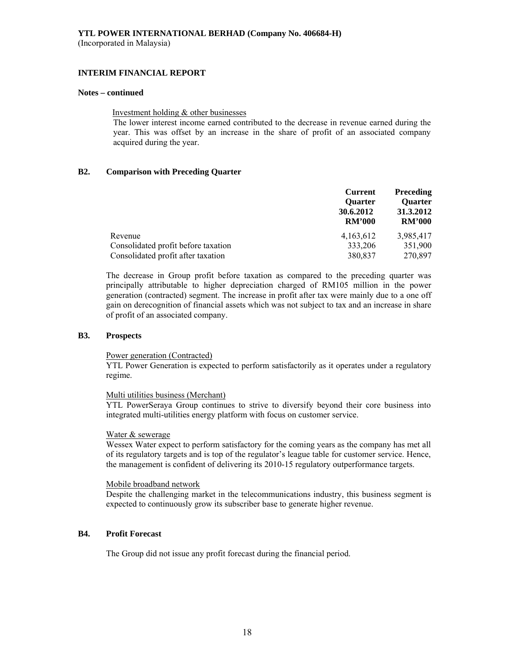#### **INTERIM FINANCIAL REPORT**

#### **Notes – continued**

#### Investment holding & other businesses

The lower interest income earned contributed to the decrease in revenue earned during the year. This was offset by an increase in the share of profit of an associated company acquired during the year.

## **B2. Comparison with Preceding Quarter**

|                                     | <b>Current</b><br><b>Ouarter</b><br>30.6.2012<br><b>RM'000</b> | <b>Preceding</b><br><b>Ouarter</b><br>31.3.2012<br><b>RM'000</b> |
|-------------------------------------|----------------------------------------------------------------|------------------------------------------------------------------|
| Revenue                             | 4, 163, 612                                                    | 3,985,417                                                        |
| Consolidated profit before taxation | 333,206                                                        | 351,900                                                          |
| Consolidated profit after taxation  | 380,837                                                        | 270,897                                                          |

The decrease in Group profit before taxation as compared to the preceding quarter was principally attributable to higher depreciation charged of RM105 million in the power generation (contracted) segment. The increase in profit after tax were mainly due to a one off gain on derecognition of financial assets which was not subject to tax and an increase in share of profit of an associated company.

#### **B3. Prospects**

#### Power generation (Contracted)

YTL Power Generation is expected to perform satisfactorily as it operates under a regulatory regime.

#### Multi utilities business (Merchant)

YTL PowerSeraya Group continues to strive to diversify beyond their core business into integrated multi-utilities energy platform with focus on customer service.

#### Water & sewerage

Wessex Water expect to perform satisfactory for the coming years as the company has met all of its regulatory targets and is top of the regulator's league table for customer service. Hence, the management is confident of delivering its 2010-15 regulatory outperformance targets.

#### Mobile broadband network

Despite the challenging market in the telecommunications industry, this business segment is expected to continuously grow its subscriber base to generate higher revenue.

#### **B4. Profit Forecast**

The Group did not issue any profit forecast during the financial period.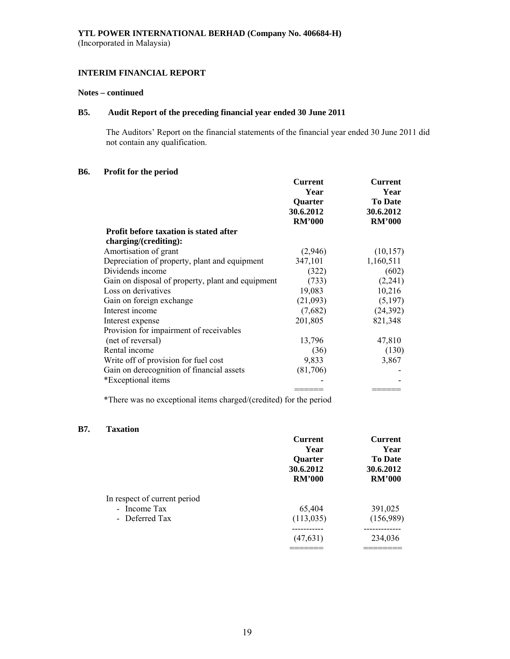## **Notes – continued**

## **B5. Audit Report of the preceding financial year ended 30 June 2011**

 The Auditors' Report on the financial statements of the financial year ended 30 June 2011 did not contain any qualification.

## **B6. Profit for the period**

| Quarter<br>30.6.2012<br><b>RM'000</b>                      | <b>To Date</b><br>30.6.2012 |
|------------------------------------------------------------|-----------------------------|
|                                                            | <b>RM'000</b>               |
|                                                            |                             |
|                                                            |                             |
| (2,946)                                                    | (10, 157)                   |
| 347,101                                                    | 1,160,511                   |
| (322)                                                      | (602)                       |
| (733)<br>Gain on disposal of property, plant and equipment | (2,241)                     |
| 19,083                                                     | 10,216                      |
| (21,093)                                                   | (5,197)                     |
| (7,682)                                                    | (24, 392)                   |
| 201,805                                                    | 821,348                     |
|                                                            |                             |
|                                                            | 47,810                      |
| (36)                                                       | (130)                       |
| 9,833                                                      | 3,867                       |
|                                                            |                             |
|                                                            |                             |
|                                                            |                             |
|                                                            | 13,796<br>(81,706)          |

\*There was no exceptional items charged/(credited) for the period

#### **B7. Taxation**

|                              | <b>Current</b> | <b>Current</b> |
|------------------------------|----------------|----------------|
|                              | Year           | Year           |
|                              | Quarter        | <b>To Date</b> |
|                              | 30.6.2012      | 30.6.2012      |
|                              | <b>RM'000</b>  | <b>RM'000</b>  |
| In respect of current period |                |                |
| - Income Tax                 | 65,404         | 391,025        |
| - Deferred Tax               | (113, 035)     | (156,989)      |
|                              |                |                |
|                              | (47, 631)      | 234,036        |
|                              |                |                |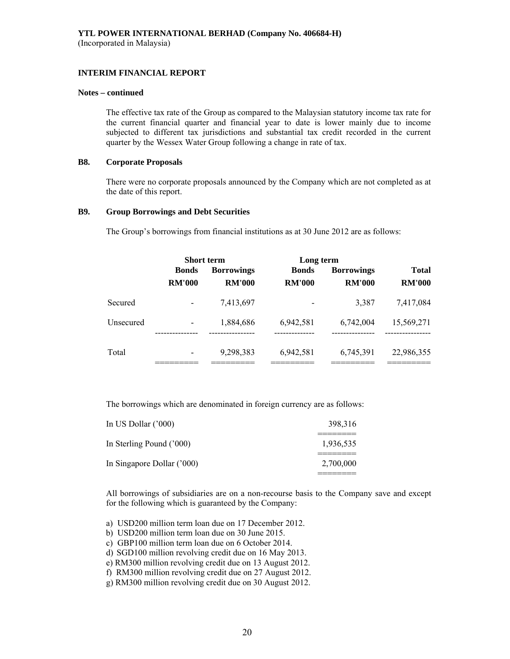#### **INTERIM FINANCIAL REPORT**

#### **Notes – continued**

The effective tax rate of the Group as compared to the Malaysian statutory income tax rate for the current financial quarter and financial year to date is lower mainly due to income subjected to different tax jurisdictions and substantial tax credit recorded in the current quarter by the Wessex Water Group following a change in rate of tax.

#### **B8. Corporate Proposals**

There were no corporate proposals announced by the Company which are not completed as at the date of this report.

#### **B9. Group Borrowings and Debt Securities**

The Group's borrowings from financial institutions as at 30 June 2012 are as follows:

|           | <b>Short term</b>        |                   |               | Long term         |               |  |
|-----------|--------------------------|-------------------|---------------|-------------------|---------------|--|
|           | <b>Bonds</b>             | <b>Borrowings</b> | <b>Bonds</b>  | <b>Borrowings</b> | <b>Total</b>  |  |
|           | <b>RM'000</b>            | <b>RM'000</b>     | <b>RM'000</b> | <b>RM'000</b>     | <b>RM'000</b> |  |
| Secured   |                          | 7,413,697         |               | 3,387             | 7,417,084     |  |
| Unsecured | $\overline{\phantom{0}}$ | 1,884,686         | 6,942,581     | 6.742,004         | 15,569,271    |  |
| Total     |                          | 9,298,383         | 6,942,581     | 6,745,391         | 22,986,355    |  |

The borrowings which are denominated in foreign currency are as follows:

| In US Dollar $('000)$      | 398,316   |
|----------------------------|-----------|
| In Sterling Pound ('000)   | 1,936,535 |
| In Singapore Dollar ('000) | 2,700,000 |

All borrowings of subsidiaries are on a non-recourse basis to the Company save and except for the following which is guaranteed by the Company:

- a) USD200 million term loan due on 17 December 2012.
- b) USD200 million term loan due on 30 June 2015.
- c) GBP100 million term loan due on 6 October 2014.
- d) SGD100 million revolving credit due on 16 May 2013.
- e) RM300 million revolving credit due on 13 August 2012.
- f) RM300 million revolving credit due on 27 August 2012.
- g) RM300 million revolving credit due on 30 August 2012.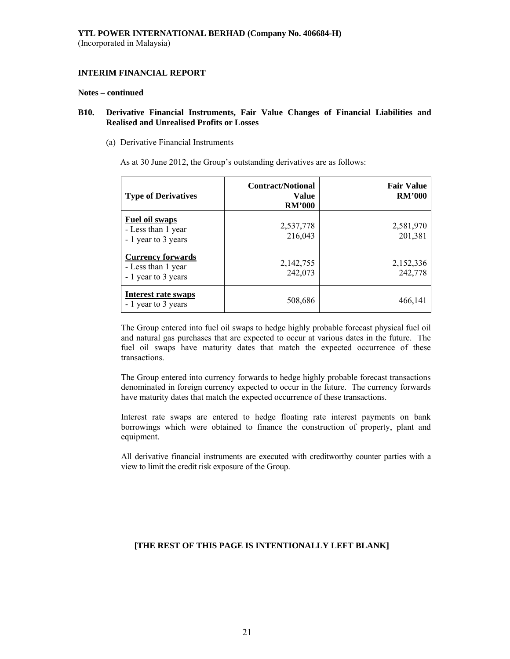#### **Notes – continued**

## **B10. Derivative Financial Instruments, Fair Value Changes of Financial Liabilities and Realised and Unrealised Profits or Losses**

(a) Derivative Financial Instruments

As at 30 June 2012, the Group's outstanding derivatives are as follows:

| <b>Type of Derivatives</b>                                            | <b>Contract/Notional</b><br><b>Value</b><br><b>RM'000</b> | <b>Fair Value</b><br><b>RM'000</b> |
|-----------------------------------------------------------------------|-----------------------------------------------------------|------------------------------------|
| <b>Fuel oil swaps</b><br>- Less than 1 year<br>- 1 year to 3 years    | 2,537,778<br>216,043                                      | 2,581,970<br>201,381               |
| <b>Currency forwards</b><br>- Less than 1 year<br>- 1 year to 3 years | 2,142,755<br>242,073                                      | 2,152,336<br>242,778               |
| Interest rate swaps<br>- 1 year to 3 years                            | 508,686                                                   | 466,141                            |

The Group entered into fuel oil swaps to hedge highly probable forecast physical fuel oil and natural gas purchases that are expected to occur at various dates in the future. The fuel oil swaps have maturity dates that match the expected occurrence of these transactions.

The Group entered into currency forwards to hedge highly probable forecast transactions denominated in foreign currency expected to occur in the future. The currency forwards have maturity dates that match the expected occurrence of these transactions.

Interest rate swaps are entered to hedge floating rate interest payments on bank borrowings which were obtained to finance the construction of property, plant and equipment.

All derivative financial instruments are executed with creditworthy counter parties with a view to limit the credit risk exposure of the Group.

## **[THE REST OF THIS PAGE IS INTENTIONALLY LEFT BLANK]**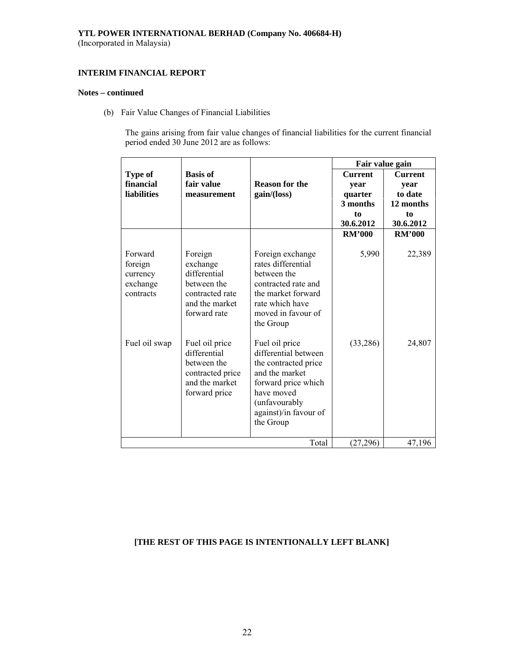# **YTL POWER INTERNATIONAL BERHAD (Company No. 406684-H)**

(Incorporated in Malaysia)

## **INTERIM FINANCIAL REPORT**

#### **Notes – continued**

(b) Fair Value Changes of Financial Liabilities

The gains arising from fair value changes of financial liabilities for the current financial period ended 30 June 2012 are as follows:

|                                                         |                                                                                                         |                                                                                                                                                                               | Fair value gain |                |
|---------------------------------------------------------|---------------------------------------------------------------------------------------------------------|-------------------------------------------------------------------------------------------------------------------------------------------------------------------------------|-----------------|----------------|
| Type of                                                 | <b>Basis of</b>                                                                                         |                                                                                                                                                                               | <b>Current</b>  | <b>Current</b> |
| financial                                               | fair value                                                                                              | <b>Reason for the</b>                                                                                                                                                         | year            | year           |
| <b>liabilities</b>                                      | measurement                                                                                             | gain/(loss)                                                                                                                                                                   | quarter         | to date        |
|                                                         |                                                                                                         |                                                                                                                                                                               | 3 months        | 12 months      |
|                                                         |                                                                                                         |                                                                                                                                                                               | to              | to             |
|                                                         |                                                                                                         |                                                                                                                                                                               | 30.6.2012       | 30.6.2012      |
|                                                         |                                                                                                         |                                                                                                                                                                               | <b>RM'000</b>   | <b>RM'000</b>  |
| Forward<br>foreign<br>currency<br>exchange<br>contracts | Foreign<br>exchange<br>differential<br>between the<br>contracted rate<br>and the market<br>forward rate | Foreign exchange<br>rates differential<br>between the<br>contracted rate and<br>the market forward<br>rate which have<br>moved in favour of<br>the Group                      | 5,990           | 22,389         |
| Fuel oil swap                                           | Fuel oil price<br>differential<br>between the<br>contracted price<br>and the market<br>forward price    | Fuel oil price<br>differential between<br>the contracted price<br>and the market<br>forward price which<br>have moved<br>(unfavourably)<br>against)/in favour of<br>the Group | (33, 286)       | 24,807         |
|                                                         |                                                                                                         | Total                                                                                                                                                                         | (27, 296)       | 47,196         |

# **[THE REST OF THIS PAGE IS INTENTIONALLY LEFT BLANK]**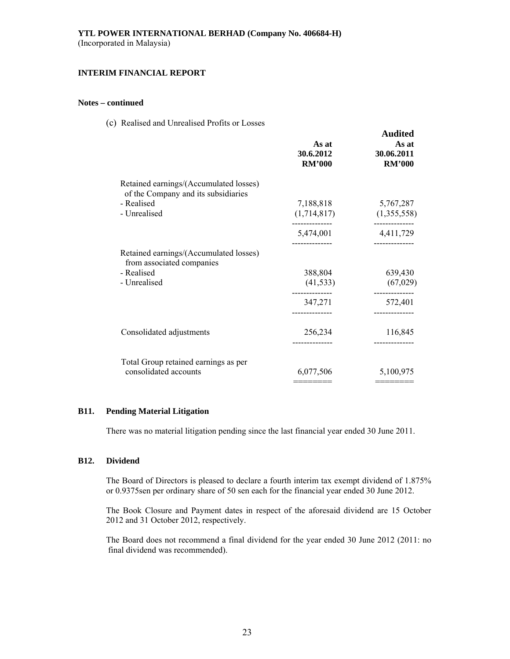## **INTERIM FINANCIAL REPORT**

## **Notes – continued**

(c) Realised and Unrealised Profits or Losses

|                                                                                                             | As at<br>30.6.2012<br><b>RM'000</b> | <b>Audited</b><br>As at<br>30.06.2011<br><b>RM'000</b> |
|-------------------------------------------------------------------------------------------------------------|-------------------------------------|--------------------------------------------------------|
| Retained earnings/(Accumulated losses)<br>of the Company and its subsidiaries<br>- Realised<br>- Unrealised | 7,188,818<br>(1,714,817)            | 5,767,287<br>(1,355,558)                               |
|                                                                                                             | 5,474,001                           | -----------<br>4,411,729                               |
| Retained earnings/(Accumulated losses)<br>from associated companies<br>- Realised<br>- Unrealised           | 388,804<br>(41, 533)                | 639,430<br>(67, 029)                                   |
|                                                                                                             | 347,271<br>--------------           | 572,401<br>-----------                                 |
| Consolidated adjustments                                                                                    | 256,234                             | 116,845                                                |
| Total Group retained earnings as per<br>consolidated accounts                                               | 6,077,506                           | 5,100,975                                              |

#### **B11. Pending Material Litigation**

There was no material litigation pending since the last financial year ended 30 June 2011.

#### **B12. Dividend**

The Board of Directors is pleased to declare a fourth interim tax exempt dividend of 1.875% or 0.9375sen per ordinary share of 50 sen each for the financial year ended 30 June 2012.

 The Book Closure and Payment dates in respect of the aforesaid dividend are 15 October 2012 and 31 October 2012, respectively.

 The Board does not recommend a final dividend for the year ended 30 June 2012 (2011: no final dividend was recommended).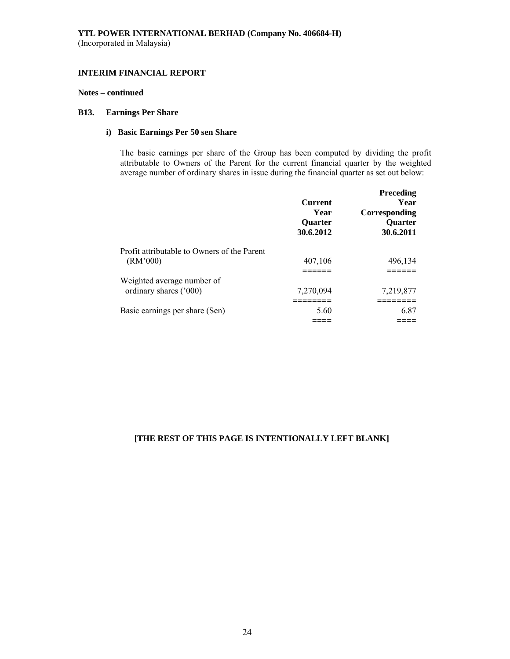## **Notes – continued**

## **B13. Earnings Per Share**

## **i) Basic Earnings Per 50 sen Share**

The basic earnings per share of the Group has been computed by dividing the profit attributable to Owners of the Parent for the current financial quarter by the weighted average number of ordinary shares in issue during the financial quarter as set out below:

|                                                         | <b>Current</b><br>Year<br>Quarter<br>30.6.2012 | Preceding<br>Year<br>Corresponding<br>Quarter<br>30.6.2011 |
|---------------------------------------------------------|------------------------------------------------|------------------------------------------------------------|
| Profit attributable to Owners of the Parent<br>(RM'000) | 407,106                                        | 496,134                                                    |
| Weighted average number of                              |                                                |                                                            |
| ordinary shares ('000)                                  | 7,270,094                                      | 7,219,877                                                  |
| Basic earnings per share (Sen)                          | 5.60                                           | 6.87                                                       |
|                                                         |                                                |                                                            |

## **[THE REST OF THIS PAGE IS INTENTIONALLY LEFT BLANK]**